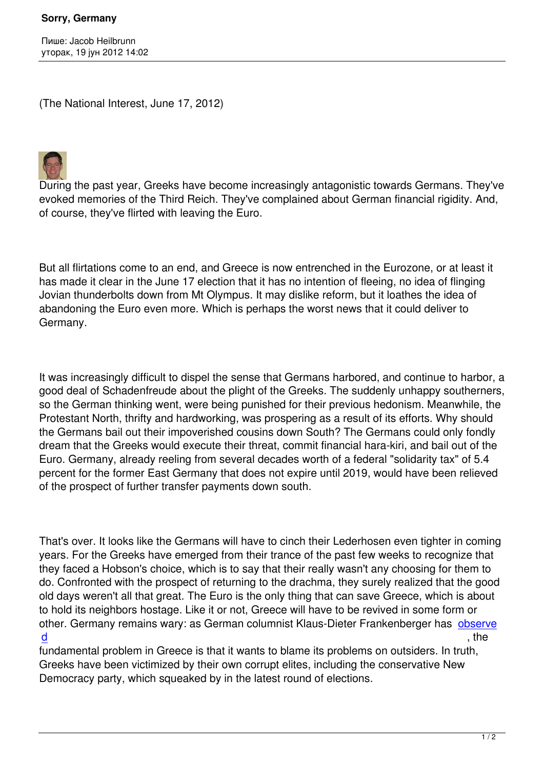(The National Interest, June 17, 2012)



During the past year, Greeks have become increasingly antagonistic towards Germans. They've evoked memories of the Third Reich. They've complained about German financial rigidity. And, of course, they've flirted with leaving the Euro.

But all flirtations come to an end, and Greece is now entrenched in the Eurozone, or at least it has made it clear in the June 17 election that it has no intention of fleeing, no idea of flinging Jovian thunderbolts down from Mt Olympus. It may dislike reform, but it loathes the idea of abandoning the Euro even more. Which is perhaps the worst news that it could deliver to Germany.

It was increasingly difficult to dispel the sense that Germans harbored, and continue to harbor, a good deal of Schadenfreude about the plight of the Greeks. The suddenly unhappy southerners, so the German thinking went, were being punished for their previous hedonism. Meanwhile, the Protestant North, thrifty and hardworking, was prospering as a result of its efforts. Why should the Germans bail out their impoverished cousins down South? The Germans could only fondly dream that the Greeks would execute their threat, commit financial hara-kiri, and bail out of the Euro. Germany, already reeling from several decades worth of a federal "solidarity tax" of 5.4 percent for the former East Germany that does not expire until 2019, would have been relieved of the prospect of further transfer payments down south.

That's over. It looks like the Germans will have to cinch their Lederhosen even tighter in coming years. For the Greeks have emerged from their trance of the past few weeks to recognize that they faced a Hobson's choice, which is to say that their really wasn't any choosing for them to do. Confronted with the prospect of returning to the drachma, they surely realized that the good old days weren't all that great. The Euro is the only thing that can save Greece, which is about to hold its neighbors hostage. Like it or not, Greece will have to be revived in some form or other. Germany remains wary: as German columnist Klaus-Dieter Frankenberger has observe d , the , the set of the set of the set of the set of the set of the set of the set of the set of the set of the set of the set of the set of the set of the set of the set of the set of the set of the set of the set of the

fundamental problem in Greece is that it wants to blame its problems on outsiders. In truth, Greeks have been victimized by their own corrupt elites, including the conservative Ne[w](http://www.faz.net/aktuell/politik/ausland/nach-wahl-in-griechenland-nicht-ausgestanden-11789662.html) [De](http://www.faz.net/aktuell/politik/ausland/nach-wahl-in-griechenland-nicht-ausgestanden-11789662.html)mocracy party, which squeaked by in the latest round of elections.